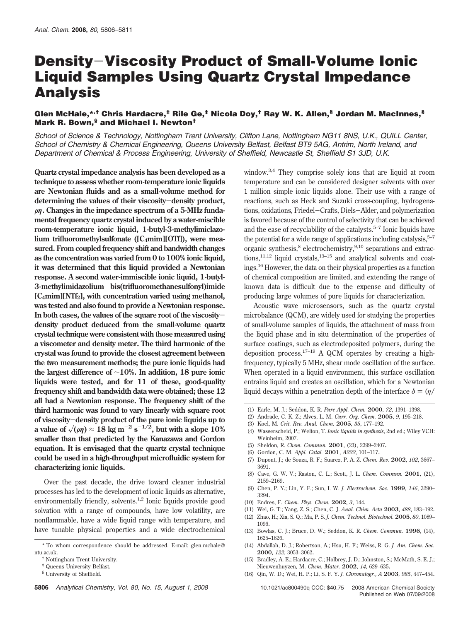# **Density**-**Viscosity Product of Small-Volume Ionic Liquid Samples Using Quartz Crystal Impedance Analysis**

## **Glen McHale,\*,† Chris Hardacre,‡ Rile Ge,‡ Nicola Doy,† Ray W. K. Allen,§ Jordan M. MacInnes,§ Mark R. Bown,§ and Michael I. Newton†**

*School of Science & Technology, Nottingham Trent University, Clifton Lane, Nottingham NG11 8NS, U.K., QUILL Center, School of Chemistry & Chemical Engineering, Queens University Belfast, Belfast BT9 5AG, Antrim, North Ireland, and Department of Chemical & Process Engineering, University of Sheffield, Newcastle St, Sheffield S1 3JD, U.K.*

**Quartz crystal impedance analysis has been developed as a technique to assess whether room-temperature ionic liquids are Newtonian fluids and as a small-volume method for determining the values of their viscosity**-**density product,** G*η***. Changes in the impedance spectrum of a 5-MHz fundamental frequency quartz crystal induced by a water-miscible room-temperature ionic liquid, 1-butyl-3-methylimiclazo**lium trifluoromethylsulfonate ([C<sub>4</sub>mim][OTf]), were mea**sured. From coupled frequency shift and bandwidth changes as the concentration was varied from 0 to 100% ionic liquid, it was determined that this liquid provided a Newtonian response. A second water-immiscible ionic liquid, 1-butyl-3-methylimidazolium bis(trifluoromethanesulfonyl)imide [C4mim][NTf2], with concentration varied using methanol, was tested and also found to provide a Newtonian response. In both cases, the values of the square root of the viscositydensity product deduced from the small-volume quartz crystal technique were consistent with those measured using a viscometer and density meter. The third harmonic of the crystal was found to provide the closest agreement between the two measurement methods; the pure ionic liquids had the largest difference of** ∼**10%. In addition, 18 pure ionic liquids were tested, and for 11 of these, good-quality frequency shift and bandwidth data were obtained; these 12 all had a Newtonian response. The frequency shift of the third harmonic was found to vary linearly with square root of viscosity**-**density product of the pure ionic liquids up to a** value of  $\sqrt{\rho \eta}$   $\approx 18$  kg m<sup>-2</sup> s<sup>-1/2</sup>, but with a slope 10% smaller than that produced by the Kanazawa and Cordon **smaller than that predicted by the Kanazawa and Gordon equation. It is envisaged that the quartz crystal technique could be used in a high-throughput microfluidic system for characterizing ionic liquids.**

Over the past decade, the drive toward cleaner industrial processes has led to the development of ionic liquids as alternative, environmentally friendly, solvents.<sup>1,2</sup> Ionic liquids provide good solvation with a range of compounds, have low volatility, are nonflammable, have a wide liquid range with temperature, and have tunable physical properties and a wide electrochemical window.3,4 They comprise solely ions that are liquid at room temperature and can be considered designer solvents with over 1 million simple ionic liquids alone. Their use with a range of reactions, such as Heck and Suzuki cross-coupling, hydrogenations, oxidations, Friedel-Crafts, Diels-Alder, and polymerization is favored because of the control of selectivity that can be achieved and the ease of recyclability of the catalysts. $5-7$  Ionic liquids have the potential for a wide range of applications including catalysis, $5-7$ organic synthesis,<sup>8</sup> electrochemistry,<sup>9,10</sup> separations and extractions, $11,12$  liquid crystals, $13-15$  and analytical solvents and coatings.16 However, the data on their physical properties as a function of chemical composition are limited, and extending the range of known data is difficult due to the expense and difficulty of producing large volumes of pure liquids for characterization.

Acoustic wave microsensors, such as the quartz crystal microbalance (QCM), are widely used for studying the properties of small-volume samples of liquids, the attachment of mass from the liquid phase and in situ determination of the properties of surface coatings, such as electrodeposited polymers, during the deposition process.<sup>17–19</sup> A QCM operates by creating a highfrequency, typically 5 MHz, shear mode oscillation of the surface. When operated in a liquid environment, this surface oscillation entrains liquid and creates an oscillation, which for a Newtonian liquid decays within a penetration depth of the interface  $\delta = (n/$ 

- (2) Andrade, C. K. Z.; Alves, L. M. *Curr. Org. Chem.* **2005**, *9*, 195–218.
- (3) Koel, M. *Crit. Rev. Anal. Chem.* **2005**, *35*, 177–192.
- (4) Wasserscheid, P.; Welton, T. *Ionic liquids in synthesis*, 2nd ed.; Wiley VCH: Weinheim, 2007.
- (5) Sheldon, R. *Chem. Commun.* **2001**, (23), 2399–2407.
- (6) Gordon, C. M. *Appl. Catal.* **2001**, *A222*, 101–117.
- (7) Dupont, J.; de Souza, R. F.; Suarez, P. A. Z. *Chem. Rev.* **2002**, *102*, 3667– 3691.
- (8) Cave, G. W. V.; Raston, C. L.; Scott, J. L. *Chem. Commun.* **2001**, (21), 2159–2169.
- (9) Chen, P. Y.; Lin, Y. F.; Sun, I. W. *J. Electrochem. Soc.* **1999**, *146*, 3290– 3294.
- (10) Endres, F. *Chem. Phys. Chem.* **2002**, *3*, 144.
- (11) Wei, G. T.; Yang, Z. S.; Chen, C. J. *Anal. Chim. Acta* **2003**, *488*, 183–192.
- (12) Zhao, H.; Xia, S. Q.; Ma, P. S. *J. Chem. Technol. Biotechnol.* **2005**, *80*, 1089– 1096.
- (13) Bowlas, C. J.; Bruce, D. W.; Seddon, K. R. *Chem. Commun.* **1996**, (14), 1625–1626.
- (14) Abdallah, D. J.; Robertson, A.; Hsu, H. F.; Weiss, R. G. *J. Am. Chem. Soc.* **2000**, *122*, 3053–3062.
- (15) Bradley, A. E.; Hardacre, C.; Holbrey, J. D.; Johnston, S.; McMath, S. E. J.; Nieuwenhuyzen, M. *Chem. Mater.* **2002**, *14*, 629–635.
- (16) Qin, W. D.; Wei, H. P.; Li, S. F. Y. *J. Chromatogr., A* **2003**, *985*, 447–454.

<sup>\*</sup> To whom correspondence should be addressed. E-mail: glen.mchale@ ntu.ac.uk.

Nottingham Trent University.

Queens University Belfast.

<sup>§</sup> University of Sheffield.

<sup>(1)</sup> Earle, M. J.; Seddon, K. R. *Pure Appl. Chem.* **2000**, *72*, 1391–1398.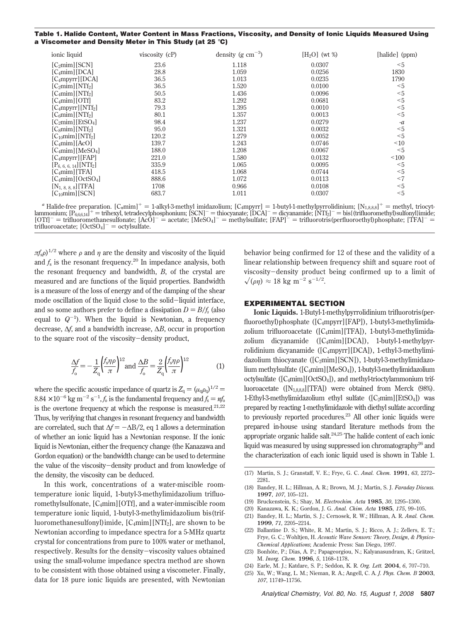| Table 1. Halide Content, Water Content in Mass Fractions, Viscosity, and Density of Ionic Liquids Measured Using |  |
|------------------------------------------------------------------------------------------------------------------|--|
| a Viscometer and Density Meter in This Study (at 25 $^\circ$ C)                                                  |  |

| ionic liquid                             | viscosity (cP) | density (g $\rm cm^{-3}$ ) | $[H_2O]$ (wt %) | [halide] (ppm) |
|------------------------------------------|----------------|----------------------------|-----------------|----------------|
| [C <sub>2</sub> min][SCN]                | 23.6           | 1.118                      | 0.0307          | $5$            |
| $[C_4min][DCA]$                          | 28.8           | 1.059                      | 0.0256          | 1830           |
| $[C_4mpyrr][DCA]$                        | 36.5           | 1.013                      | 0.0235          | 1790           |
| $[C_2min][NTf_2]$                        | 36.5           | 1.520                      | 0.0100          | $5$            |
| $[C_4min][NTf_2]$                        | 50.5           | 1.436                      | 0.0096          | $5$            |
| $[C_4min][OTf]$                          | 83.2           | 1.292                      | 0.0681          | $5$            |
| $[C_4mpyrr][NTf_2]$                      | 79.3           | 1.395                      | 0.0010          | $5$            |
| [C <sub>6</sub> min][NTf <sub>2</sub> ]  | 80.1           | 1.357                      | 0.0013          | $5$            |
| [C <sub>2</sub> min][EtSO <sub>4</sub> ] | 98.4           | 1.237                      | 0.0279          | $-a$           |
| $[Csim  NTf2]$                           | 95.0           | 1.321                      | 0.0032          | $5$            |
| $[C_{10}$ mim][NTf <sub>2</sub> ]        | 120.2          | 1.279                      | 0.0052          | $5$            |
| $[C_4min][Ac0]$                          | 139.7          | 1.243                      | 0.0746          | ~10            |
| $[C_4min][MeSO_4]$                       | 188.0          | 1.208                      | 0.0067          | $5$            |
| $[C_4mpyrr][FAP]$                        | 221.0          | 1.580                      | 0.0132          | ~100           |
| $[P_{6, 6, 6, 14}][NTf_2]$               | 335.9          | 1.065                      | 0.0095          | $5$            |
| [C <sub>4</sub> min][TFA]                | 418.5          | 1.068                      | 0.0744          | $5$            |
| $[C_4min][OctSO_4]$                      | 888.6          | 1.072                      | 0.0113          | $<$ 7          |
| $[N_{1, 8, 8, 8}]$ [TFA]                 | 1708           | 0.966                      | 0.0108          | $5$            |
| $[C_{10}$ mim $][SCN]$                   | 683.7          | 1.011                      | 0.0307          | $5$            |

<sup>a</sup> Halide-free preparation.  $[C_n \text{mim}]^+ = 1$ -alkyl-3-methyl imidazolium;  $[C_4 \text{mpyrr}] = 1$ -butyl-1-methylpyrrolidinium;  $[N_{1,8,8,8}]^+ =$  methyl, triocyt-<br>lammonium;  $[P_{6,6,14}]^+ =$  trihexyl, tetradecylphosphonium;  $[\text{SCN}]^- =$  [OTf]<sup>-</sup> = trifluoromethanesulfonate; [AcO]<sup>-</sup> = acetate; [MeSO<sub>4</sub>]<sup>-</sup> = methylsulfate; [FAP]<sup>-</sup> = trifluorotris(perfluoroethyl)phosphate; [TFA]<sup>-</sup> =<br>trifluoroacetate: [OctSO<sub>4</sub>]<sup>-</sup> = octylsulfate. trifluoroacetate;  $[OctSO<sub>4</sub> ] = octy$ lsulfate.

 $πf<sub>s</sub>ρ$ <sup>1/2</sup> where *ρ* and *η* are the density and viscosity of the liquid and  $f_s$  is the resonant frequency.<sup>20</sup> In impedance analysis, both the resonant frequency and bandwidth, *B*, of the crystal are measured and are functions of the liquid properties. Bandwidth is a measure of the loss of energy and of the damping of the shear mode oscillation of the liquid close to the solid-liquid interface, and so some authors prefer to define a dissipation  $D = B/f_s$  (also equal to  $Q^{-1}$ ). When the liquid is Newtonian, a frequency decrease, ∆*f*, and a bandwidth increase, ∆*B*, occur in proportion to the square root of the viscosity-density product,

$$
\frac{\Delta f}{f_0} = -\frac{1}{Z_q} \left(\frac{f_s \eta \rho}{\pi}\right)^{1/2} \text{and } \frac{\Delta B}{f_0} = \frac{2}{Z_q} \left(\frac{f_s \eta \rho}{\pi}\right)^{1/2} \tag{1}
$$

where the specific acoustic impedance of quartz is  $Z_q = (\mu_q \rho_q)^{1/2}$  $8.84 \times 10^{-6}$  kg m<sup>-2</sup> s<sup>-1</sup>, *f*<sub>0</sub> is the fundamental frequency and *f*<sub>s</sub> =  $n f_0$ <br>is the exertency frequency at which the graphene in measured 21.22 is the overtone frequency at which the response is measured. $21,22$ Thus, by verifying that changes in resonant frequency and bandwidth are correlated, such that  $\Delta f = -\Delta B/2$ , eq 1 allows a determination of whether an ionic liquid has a Newtonian response. If the ionic liquid is Newtonian, either the frequency change (the Kanazawa and Gordon equation) or the bandwidth change can be used to determine the value of the viscosity-density product and from knowledge of the density, the viscosity can be deduced.

In this work, concentrations of a water-miscible roomtemperature ionic liquid, 1-butyl-3-methylimidazolium trifluoromethylsulfonate, [C4mim][OTf], and a water-immiscible room temperature ionic liquid, 1-butyl-3-methylimidazolium bis(trifluoromethanesulfonyl)imide,  $[C_4min][NTf_2]$ , are shown to be Newtonian according to impedance spectra for a 5-MHz quartz crystal for concentrations from pure to 100% water or methanol, respectively. Results for the density-viscosity values obtained using the small-volume impedance spectra method are shown to be consistent with those obtained using a viscometer. Finally, data for 18 pure ionic liquids are presented, with Newtonian behavior being confirmed for 12 of these and the validity of a linear relationship between frequency shift and square root of viscosity-density product being confirmed up to a limit of  $\sqrt{(\rho \eta)} \approx 18 \text{ kg m}^{-2} \text{ s}^{-1/2}.$ 

#### **EXPERIMENTAL SECTION**

**Ionic Liquids.** 1-Butyl-1-methylpyrrolidinium trifluorotris(perfluoroethyl)phosphate ([C4mpyrr][FAP]), 1-butyl-3-methylimidazolium trifluoroacetate ( $[C_4mim][TFA]$ ), 1-butyl-3-methylimidazolium dicyanamide  $([C_4mim][DCA])$ , 1-butyl-1-methylpyrrolidinium dicyanamide ([C<sub>4</sub>mpyrr][DCA]), 1-ethyl-3-methylimidazolium thiocyanate ( $[C_2mim][SCN]$ ), 1-butyl-3-methylimidazolium methylsulfate ([C4mim][MeSO4]), 1-butyl-3-methylimidazolium octylsulfate ( $[C_4$ mim][OctSO<sub>4</sub>]), and methyl-trioctylammonium trifluoroacetate ( $[N<sub>1,8,8,8</sub>][TFA]$ ) were obtained from Merck (98%). 1-Ethyl-3-methylimidazolium ethyl sulfate  $([C_2min][EtSO_4])$  was prepared by reacting 1-methylimidazole with diethyl sulfate according to previously reported procedures.<sup>23</sup> All other ionic liquids were prepared in-house using standard literature methods from the appropriate organic halide salt. $24,25$  The halide content of each ionic liquid was measured by using suppressed ion chromatography26 and the characterization of each ionic liquid used is shown in Table 1.

- (17) Martin, S. J.; Granstaff, V. E.; Frye, G. C. *Anal. Chem.* **1991**, *63*, 2272– 2281.
- (18) Bandey, H. L.; Hillman, A. R.; Brown, M. J.; Martin, S. J. *Faraday Discuss.* **1997**, *107*, 105–121.
- (19) Bruckenstein, S.; Shay, M. *Electrochim. Acta* **1985**, *30*, 1295–1300.
- (20) Kanazawa, K. K.; Gordon, J. G. *Anal. Chim. Acta* **1985**, *175*, 99–105. (21) Bandey, H. L.; Martin, S. J.; Cernosek, R. W.; Hillman, A. R. *Anal. Chem.*
- **1999**, *71*, 2205–2214. (22) Ballantine D. S.; White, R. M.; Martin, S. J.; Ricco, A. J.; Zellers, E. T.;
- Frye, G. C.; Wohltjen, H. *Acoustic Wave Sensors: Theory, Design, & Physico-Chemical Applications*; Academic Press: San Diego, 1997.
- (23) Bonhôte, P.; Dias, A. P.; Papageorgiou, N.; Kalyanasundram, K.; Grätzel, M. *Inorg. Chem.* **1996**, *5*, 1168–1178.
- (24) Earle, M. J.; Katdare, S. P.; Seddon, K. R. *Org. Lett.* **2004**, *6*, 707–710.
- (25) Xu, W.; Wang, L. M.; Nieman, R. A.; Angell, C. A. *J. Phys. Chem. B* **2003**, *107*, 11749–11756.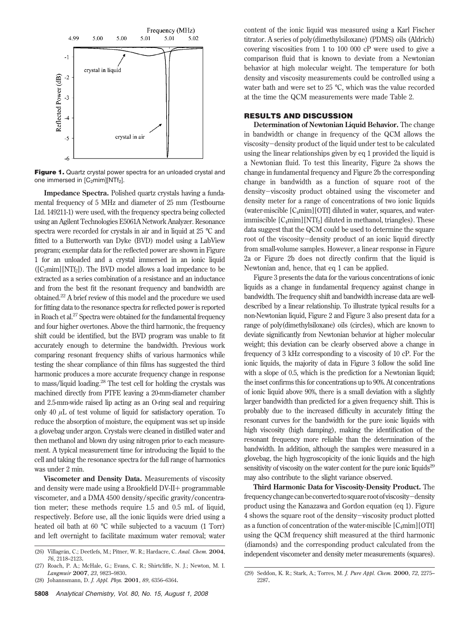

**Figure 1.** Quartz crystal power spectra for an unloaded crystal and one immersed in  $[C_2mim][NTf_2]$ .

**Impedance Spectra.** Polished quartz crystals having a fundamental frequency of 5 MHz and diameter of 25 mm (Testbourne Ltd. 149211-1) were used, with the frequency spectra being collected using an Agilent Technologies E5061A Network Analyzer. Resonance spectra were recorded for crystals in air and in liquid at 25 °C and fitted to a Butterworth van Dyke (BVD) model using a LabView program; exemplar data for the reflected power are shown in Figure 1 for an unloaded and a crystal immersed in an ionic liquid  $([C_2min][NTf_2])$ . The BVD model allows a load impedance to be extracted as a series combination of a resistance and an inductance and from the best fit the resonant frequency and bandwidth are obtained.22 A brief review of this model and the procedure we used for fitting data to the resonance spectra for reflected power is reported in Roach et al.<sup>27</sup> Spectra were obtained for the fundamental frequency and four higher overtones. Above the third harmonic, the frequency shift could be identified, but the BVD program was unable to fit accurately enough to determine the bandwidth. Previous work comparing resonant frequency shifts of various harmonics while testing the shear compliance of thin films has suggested the third harmonic produces a more accurate frequency change in response to mass/liquid loading.28 The test cell for holding the crystals was machined directly from PTFE leaving a 20-mm-diameter chamber and 2.5-mm-wide raised lip acting as an O-ring seal and requiring only 40 *µ*L of test volume of liquid for satisfactory operation. To reduce the absorption of moisture, the equipment was set up inside a glovebag under argon. Crystals were cleaned in distilled water and then methanol and blown dry using nitrogen prior to each measurement. A typical measurement time for introducing the liquid to the cell and taking the resonance spectra for the full range of harmonics was under 2 min.

**Viscometer and Density Data.** Measurements of viscosity and density were made using a Brookfield DV-II+ programmable viscometer, and a DMA 4500 density/specific gravity/concentration meter; these methods require 1.5 and 0.5 mL of liquid, respectively. Before use, all the ionic liquids were dried using a heated oil bath at 60 °C while subjected to a vacuum (1 Torr) and left overnight to facilitate maximum water removal; water content of the ionic liquid was measured using a Karl Fischer titrator. A series of poly(dimethylsiloxane) (PDMS) oils (Aldrich) covering viscosities from 1 to 100 000 cP were used to give a comparison fluid that is known to deviate from a Newtonian behavior at high molecular weight. The temperature for both density and viscosity measurements could be controlled using a water bath and were set to 25 °C, which was the value recorded at the time the QCM measurements were made Table 2.

### **RESULTS AND DISCUSSION**

**Determination of Newtonian Liquid Behavior.** The change in bandwidth or change in frequency of the QCM allows the viscosity-density product of the liquid under test to be calculated using the linear relationships given by eq 1 provided the liquid is a Newtonian fluid. To test this linearity, Figure 2a shows the change in fundamental frequency and Figure 2b the corresponding change in bandwidth as a function of square root of the density-viscosity product obtained using the viscometer and density meter for a range of concentrations of two ionic liquids (water-miscible [C4mim][OTf] diluted in water, squares, and waterimmiscible [C<sub>4</sub>mim][NTf<sub>2</sub>] diluted in methanol, triangles). These data suggest that the QCM could be used to determine the square root of the viscosity-density product of an ionic liquid directly from small-volume samples. However, a linear response in Figure 2a or Figure 2b does not directly confirm that the liquid is Newtonian and, hence, that eq 1 can be applied.

Figure 3 presents the data for the various concentrations of ionic liquids as a change in fundamental frequency against change in bandwidth. The frequency shift and bandwidth increase data are welldescribed by a linear relationship. To illustrate typical results for a non-Newtonian liquid, Figure 2 and Figure 3 also present data for a range of poly(dimethylsiloxane) oils (circles), which are known to deviate significantly from Newtonian behavior at higher molecular weight; this deviation can be clearly observed above a change in frequency of 3 kHz corresponding to a viscosity of 10 cP. For the ionic liquids, the majority of data in Figure 3 follow the solid line with a slope of 0.5, which is the prediction for a Newtonian liquid; the inset confirms this for concentrations up to 90%. At concentrations of ionic liquid above 90%, there is a small deviation with a slightly larger bandwidth than predicted for a given frequency shift. This is probably due to the increased difficulty in accurately fitting the resonant curves for the bandwidth for the pure ionic liquids with high viscosity (high damping), making the identification of the resonant frequency more reliable than the determination of the bandwidth. In addition, although the samples were measured in a glovebag, the high hygroscopicity of the ionic liquids and the high sensitivity of viscosity on the water content for the pure ionic liquids<sup>29</sup> may also contribute to the slight variance observed.

**Third Harmonic Data for Viscosity-Density Product.** The frequencychangecanbeconverted tosquarerootofviscosity-density product using the Kanazawa and Gordon equation (eq 1). Figure 4 shows the square root of the density-viscosity product plotted as a function of concentration of the water-miscible  $[C_4$ mim $][OTT]$ using the QCM frequency shift measured at the third harmonic (diamonds) and the corresponding product calculated from the independent viscometer and density meter measurements (squares). (26) Villagra´n, C.; Deetlefs, M.; Pitner, W. R.; Hardacre, C. *Anal. Chem.* **<sup>2004</sup>**,

*<sup>76</sup>*, 2118–2123.

<sup>(27)</sup> Roach, P. A.; McHale, G.; Evans, C. R.; Shirtcliffe, N. J.; Newton, M. I. *Langmuir* **2007**, *23*, 9823–9830.

<sup>(28)</sup> Johannsmann, D. *J. Appl. Phys.* **2001**, *89*, 6356–6364.

<sup>(29)</sup> Seddon, K. R.; Stark, A.; Torres, M. *J. Pure Appl. Chem.* **2000**, *72*, 2275– 2287.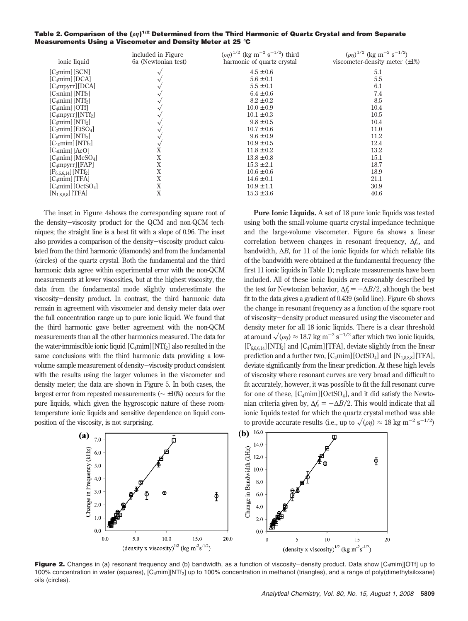| Table 2. Comparison of the $(\rho\eta)^{1/2}$ Determined from the Third Harmonic of Quartz Crystal and from Separate |  |
|----------------------------------------------------------------------------------------------------------------------|--|
| Measurements Using a Viscometer and Density Meter at 25 $^\circ$ C                                                   |  |

| ionic liquid                             | included in Figure<br>6a (Newtonian test) | $(\rho \eta)^{1/2}$ (kg m <sup>-2</sup> s <sup>-1/2</sup> ) third<br>harmonic of quartz crystal | $(\rho \eta)^{1/2}$ (kg m <sup>-2</sup> s <sup>-1/2</sup> )<br>viscometer-density meter $(\pm 1\%)$ |
|------------------------------------------|-------------------------------------------|-------------------------------------------------------------------------------------------------|-----------------------------------------------------------------------------------------------------|
| [C <sub>2</sub> min][SCN]                |                                           | $4.5 \pm 0.6$                                                                                   | 5.1                                                                                                 |
| $[C_4min][DCA]$                          |                                           | $5.6 \pm 0.1$                                                                                   | 5.5                                                                                                 |
| $[C_4mpyrr][DCA]$                        |                                           | $5.5 \pm 0.1$                                                                                   | 6.1                                                                                                 |
| $[C_2min][NTf_2]$                        | ∿                                         | $6.4 \pm 0.6$                                                                                   | 7.4                                                                                                 |
| $[C_4min][NTf_2]$                        |                                           | $8.2 \pm 0.2$                                                                                   | 8.5                                                                                                 |
| $[C_4min][OTf]$                          |                                           | $10.0 \pm 0.9$                                                                                  | 10.4                                                                                                |
| $[C_4mpyrr][NTf_2]$                      |                                           | $10.1 \pm 0.3$                                                                                  | 10.5                                                                                                |
| [C <sub>6</sub> min][NTf <sub>2</sub> ]  |                                           | $9.8 \pm 0.5$                                                                                   | 10.4                                                                                                |
| [C <sub>2</sub> min][EtSO <sub>4</sub> ] |                                           | $10.7 \pm 0.6$                                                                                  | 11.0                                                                                                |
| $[Csim  NTf2$ ]                          |                                           | $9.6 \pm 0.9$                                                                                   | 11.2                                                                                                |
| $[C_{10}$ mim $ [NTf_2]$                 |                                           | $10.9 \pm 0.5$                                                                                  | 12.4                                                                                                |
| $[C_4min][Ac0]$                          | Χ                                         | $11.8 \pm 0.2$                                                                                  | 13.2                                                                                                |
| $[C_4min][MeSO_4]$                       | X                                         | $13.8 \pm 0.8$                                                                                  | 15.1                                                                                                |
| $[C_4mpyrr][FAP]$                        | Χ                                         | $15.3 \pm 2.1$                                                                                  | 18.7                                                                                                |
| $[P_{6,6,6,14}][NTf_2]$                  | X                                         | $10.6 \pm 0.6$                                                                                  | 18.9                                                                                                |
| $[C_4min][TFA]$                          | Χ                                         | $14.6 \pm 0.1$                                                                                  | 21.1                                                                                                |
| $[C_4min][OctSO_4]$                      | X                                         | $10.9 \pm 1.1$                                                                                  | 30.9                                                                                                |
| $[N_{1,8,8,8}]$ [TFA]                    | Χ                                         | $15.3 \pm 3.6$                                                                                  | 40.6                                                                                                |

The inset in Figure 4shows the corresponding square root of the density-viscosity product for the QCM and non-QCM techniques; the straight line is a best fit with a slope of 0.96. The inset also provides a comparison of the density-viscosity product calculated from the third harmonic (diamonds) and from the fundamental (circles) of the quartz crystal. Both the fundamental and the third harmonic data agree within experimental error with the non-QCM measurements at lower viscosities, but at the highest viscosity, the data from the fundamental mode slightly underestimate the viscosity-density product. In contrast, the third harmonic data remain in agreement with viscometer and density meter data over the full concentration range up to pure ionic liquid. We found that the third harmonic gave better agreement with the non-QCM measurements than all the other harmonics measured. The data for the water-immiscible ionic liquid  $[C_4 \text{min}][NT_2]$  also resulted in the same conclusions with the third harmonic data providing a lowvolume sample measurement of density-viscosity product consistent with the results using the larger volumes in the viscometer and density meter; the data are shown in Figure 5. In both cases, the largest error from repeated measurements (∼ ±10%) occurs for the pure liquids, which given the hygroscopic nature of these roomtemperature ionic liquids and sensitive dependence on liquid composition of the viscosity, is not surprising.

**Pure Ionic Liquids.** A set of 18 pure ionic liquids was tested using both the small-volume quartz crystal impedance technique and the large-volume viscometer. Figure 6a shows a linear correlation between changes in resonant frequency, ∆*f*s, and bandwidth, ∆*B*, for 11 of the ionic liquids for which reliable fits of the bandwidth were obtained at the fundamental frequency (the first 11 ionic liquids in Table 1); replicate measurements have been included. All of these ionic liquids are reasonably described by the test for Newtonian behavior,  $\Delta f_s = -\Delta B/2$ , although the best fit to the data gives a gradient of 0.439 (solid line). Figure 6b shows the change in resonant frequency as a function of the square root of viscosity-density product measured using the viscometer and density meter for all 18 ionic liquids. There is a clear threshold at around  $\sqrt{\left(\rho\eta\right)} \approx 18.7$  kg m<sup>-2</sup> s<sup>-1/2</sup> after which two ionic liquids,<br> $\Gamma_{\rm R}$  at  $\Gamma_{\rm C}$  and  $\Gamma_{\rm C}$  mimil $\Gamma_{\rm C}$  at a cyrists slightly from the linear  $[P_{6,6,6,14}][\text{NTf}_2]$  and  $[C_4\text{min}][\text{TFA}]$ , deviate slightly from the linear prediction and a further two,  $[C_4 \text{min}][\text{OctSO}_4]$  and  $[N_{1,8,8,8}][\text{TFA}]$ , deviate significantly from the linear prediction. At these high levels of viscosity where resonant curves are very broad and difficult to fit accurately, however, it was possible to fit the full resonant curve for one of these,  $[C_4mim][OctSO_4]$ , and it did satisfy the Newtonian criteria given by,  $\Delta f_s = -\Delta B/2$ . This would indicate that all ionic liquids tested for which the quartz crystal method was able to provide accurate results (i.e., up to  $\sqrt{\left(\rho \eta\right)} \approx 18 \text{ kg m}^{-2} \text{ s}^{-1/2}$ )



**Figure 2.** Changes in (a) resonant frequency and (b) bandwidth, as a function of viscosity-density product. Data show [C<sub>4</sub>mim][OTf] up to 100% concentration in water (squares), [C4mim][NTf2] up to 100% concentration in methanol (triangles), and a range of poly(dimethylsiloxane) oils (circles).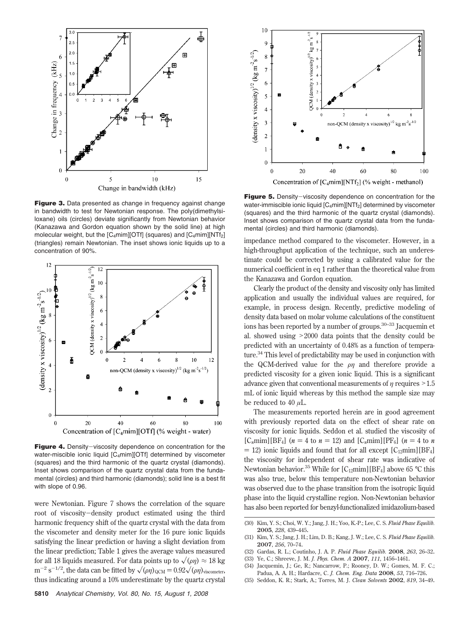

**Figure 3.** Data presented as change in frequency against change in bandwidth to test for Newtonian response. The poly(dimethylsiloxane) oils (circles) deviate significantly from Newtonian behavior (Kanazawa and Gordon equation shown by the solid line) at high molecular weight, but the [C4mim][OTf] (squares) and [C4mim][NTf2] (triangles) remain Newtonian. The inset shows ionic liquids up to a concentration of 90%.



**Figure 4.** Density-viscosity dependence on concentration for the water-miscible ionic liquid [C<sub>4</sub>mim][OTf] determined by viscometer (squares) and the third harmonic of the quartz crystal (diamonds). Inset shows comparison of the quartz crystal data from the fundamental (circles) and third harmonic (diamonds); solid line is a best fit with slope of 0.96.

were Newtonian. Figure 7 shows the correlation of the square root of viscosity-density product estimated using the third harmonic frequency shift of the quartz crystal with the data from the viscometer and density meter for the 16 pure ionic liquids satisfying the linear prediction or having a slight deviation from the linear prediction; Table 1 gives the average values measured for all 18 liquids measured. For data points up to  $\sqrt{\frac{\rho\eta}{\epsilon}} \approx 18 \text{ kg}$ <br> $m^{-2} s^{-1/2}$  the data can be fitted by  $\sqrt{\frac{\rho(1)}{2}} \approx 0.93 \sqrt{\frac{\rho(1)}{\epsilon}}$  $m^{-2} s^{-1/2}$ , the data can be fitted by  $\sqrt{\langle \rho \eta \rangle_{QCM}} = 0.92 \sqrt{\langle \rho \eta \rangle_{viscenter}}$ thus indicating around a 10% underestimate by the quartz crystal



**Figure 5.** Density-viscosity dependence on concentration for the water-immiscible ionic liquid [C<sub>4</sub>mim][NTf<sub>2</sub>] determined by viscometer (squares) and the third harmonic of the quartz crystal (diamonds). Inset shows comparison of the quartz crystal data from the fundamental (circles) and third harmonic (diamonds).

impedance method compared to the viscometer. However, in a high-throughput application of the technique, such an underestimate could be corrected by using a calibrated value for the numerical coefficient in eq 1 rather than the theoretical value from the Kanazawa and Gordon equation.

Clearly the product of the density and viscosity only has limited application and usually the individual values are required, for example, in process design. Recently, predictive modeling of density data based on molar volume calculations of the constituent ions has been reported by a number of groups.<sup>30-33</sup> Jacquemin et al. showed using >2000 data points that the density could be predicted with an uncertainty of 0.48% as a function of temperature.34 This level of predictability may be used in conjunction with the QCM-derived value for the *ρη* and therefore provide a predicted viscosity for a given ionic liquid. This is a significant advance given that conventional measurements of *<sup>η</sup>* requires >1.5 mL of ionic liquid whereas by this method the sample size may be reduced to 40 *µ*L.

The measurements reported herein are in good agreement with previously reported data on the effect of shear rate on viscosity for ionic liquids. Seddon et al. studied the viscosity of  $[C_n \text{min}][BF_4]$  ( $n = 4$  to  $n = 12$ ) and  $[C_n \text{min}][PF_6]$  ( $n = 4$  to n  $=$  12) ionic liquids and found that for all except  $[C_{12}min][BF_4]$ the viscosity for independent of shear rate was indicative of Newtonian behavior.<sup>35</sup> While for  $[C_{12}$ mim][BF<sub>4</sub>] above 65 °C this was also true, below this temperature non-Newtonian behavior was observed due to the phase transition from the isotropic liquid phase into the liquid crystalline region. Non-Newtonian behavior has also been reported for benzyl-functionalized imidazolium-based

- (31) Kim, Y. S.; Jang, J. H.; Lim, D. B.; Kang, J. W.; Lee, C. S. *Fluid Phase Equilib.* **2007**, *256*, 70–74.
- (32) Gardas, R. L.; Coutinho, J. A. P. *Fluid Phase Equilib.* **2008**, *263*, 26–32.
- (33) Ye, C.; Shreeve, J. M. *J. Phys. Chem. A* **2007**, *111*, 1456–1461.
- (34) Jacquemin, J.; Ge, R.; Nancarrow, P.; Rooney, D. W.; Gomes, M. F. C.; Padua, A. A. H.; Hardacre, C. *J. Chem. Eng. Data* **2008**, *53*, 716–726.
- (35) Seddon, K. R.; Stark, A.; Torres, M. J. *Clean Solvents* **2002**, *819*, 34–49.

<sup>(30)</sup> Kim, Y. S.; Choi, W. Y.; Jang, J. H.; Yoo, K.-P.; Lee, C. S. *Fluid Phase Equilib.* **2005**, *228*, 439–445.